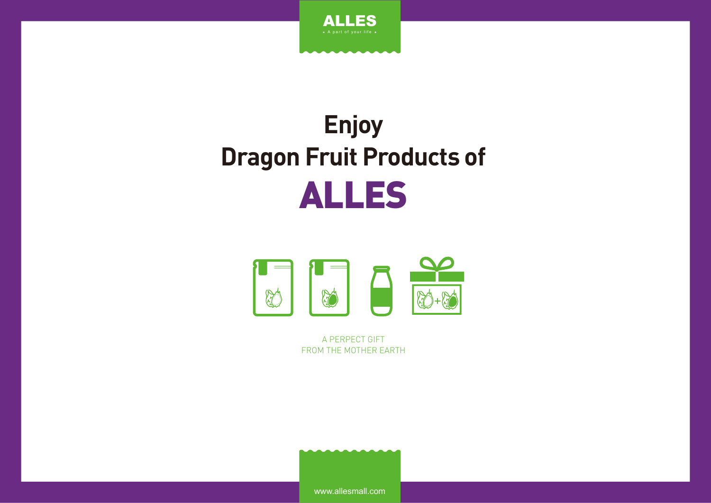

# **Enjoy Dragon Fruit Products of** ALLES



A PERPECT GIFT FROM THE MOTHER EARTH

www.allesmall.com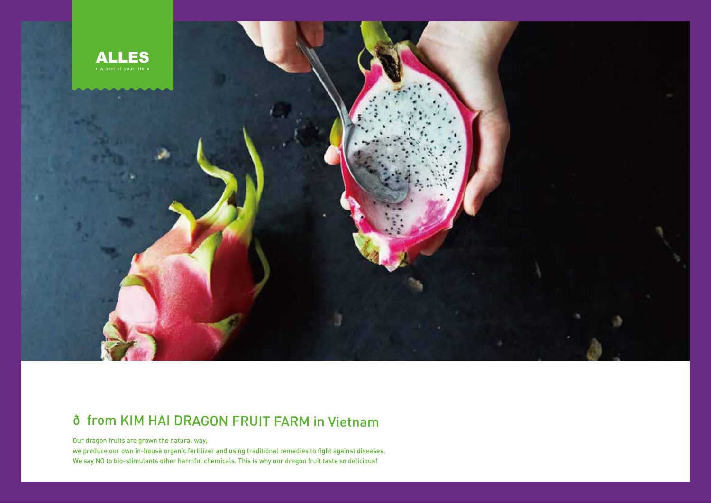

# ð from KIM HAI DRAGON FRUIT FARM in Vietnam

Our dragon fruits are grown the natural way,

we produce our own in-house organic fertilizer and using traditional remedies to fight against diseases. We say NO to bio-stimulants other harmful chemicals. This is why our dragon fruit taste so delicious!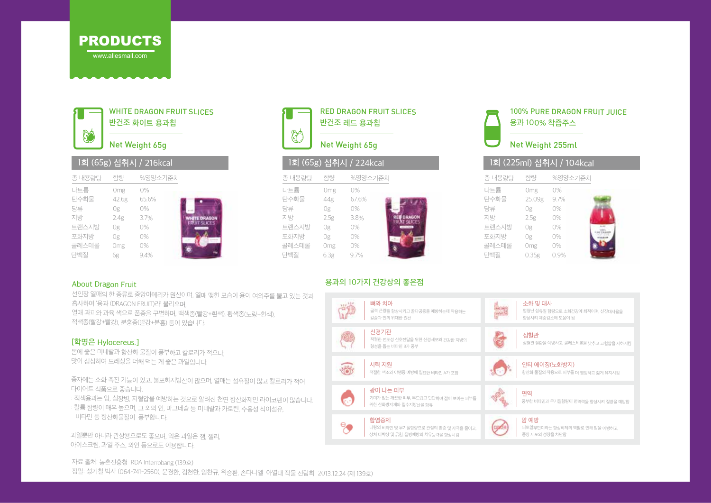



WHITE DRAGON FRUIT SLICES 반건조 화이트 용과칩

# Net Weight 65g

|        |       | 1외 (058) 곱귀시 / ZTOKCdl |                    |
|--------|-------|------------------------|--------------------|
| 총 내용량당 | 함량    | %영양소기준치                |                    |
| 나트륨    | Omg   | 0%                     |                    |
| 탄수화물   | 42.6g | 65.6%                  |                    |
| 당류     | 0g    | 0%                     |                    |
| 지방     | 2.4g  | 3.7%                   | <b>WHITE DRAGO</b> |
| 트랜스지방  | 0g    | 0%                     | FRUIT SLICES       |
| 포화지방   | 0g    | 0%                     |                    |
| 콜레스테롤  | Omg   | 0%                     |                    |
| 단백질    | 6g    | 9.4%                   |                    |

### RED DRAGON FRUIT SLICES 반건조 레드 용과칩 KÓ Net Weight 65g

### 1회 (65g) 섭취시 / 216kcal 1회 (65g) 섭취시 / 224kcal 1회 (225ml) 섭취시 / 104kcal

| 총 내용량당                                                   | 함량                                                  | %영양소기준치                                                                                     |
|----------------------------------------------------------|-----------------------------------------------------|---------------------------------------------------------------------------------------------|
| 나트륨<br>탄수화물<br>당류<br>지방<br>트랜스지방<br>포화지방<br>콜레스테롤<br>단백질 | Omg<br>44g<br>0g<br>2.5g<br>0g<br>0g<br>Omg<br>6.3g | $0\%$<br>67.6%<br>$0\%$<br><b>RED ORAGON</b><br>3.8%<br>AT SHIEFS<br>0%<br>0%<br>0%<br>9.7% |
|                                                          |                                                     |                                                                                             |

### 용과의 10가지 건강상의 좋은점



100% PURE DRAGON FRUIT JUICE 용과 100% 착즙주스



### Net Weight 255ml

|        |        | T와 (ZZDIIII) 업쉬시 / TU4KCdI |  |
|--------|--------|----------------------------|--|
| 총 내용량당 | 함량     | %영양소기준치                    |  |
| 나트륨    | Omg    | 0%                         |  |
| 탄수화물   | 25.09g | 9.7%                       |  |
| 당류     | 0g     | 0%                         |  |
| 지방     | 2.5g   | 0%                         |  |
| 트랜스지방  | 0g     | 0%                         |  |
| 포화지방   | 0g     | 0%                         |  |
| 콜레스테롤  | Omg    | 0%                         |  |
| 단백질    | 0.35g  | 0.9%                       |  |
|        |        |                            |  |

#### About Dragon Fruit

선인장 열매의 한 종류로 중앙아메리카 원산이며, 열매 맺힌 모습이 용이 여의주를 물고 있는 것과 흡사하여 '용과 (DRAGON FRUIT)라' 불리우며, 열매 과피와 과육 색으로 품종을 구별하며, 백색종(빨강+흰색), 황색종(노랑+흰색), 적색종(빨강+빨강), 분홍종(빨강+분홍) 등이 있습니다.

#### [학명은 Hylocereus.]

몸에 좋은 미네랄과 항산화 물질이 풍부하고 칼로리가 적으나, 맛이 심심하여 드레싱을 더해 먹는 게 좋은 과일입니다.

종자에는 소화 촉진 기능이 있고, 불포화지방산이 많으며, 열매는 섬유질이 많고 칼로리가 적어 다이어트 식품으로 좋습니다.

: 적색용과는 암, 심장병, 저혈압을 예방하는 것으로 알려진 천연 항산화제인 라이코펜이 많습니다. : 칼륨 함량이 매우 높으며, 그 외의 인, 마그네슘 등 미네랄과 카로틴, 수용성 식이섬유,

비타민 등 항산화물질이 풍부합니다.

과일뿐만 아니라 관상용으로도 좋으며, 익은 과일은 잼, 젤리, 아이스크림, 과일 주스, 와인 등으로도 이용합니다.



자료 출처: 농촌진흥청 RDA Interrobang (139호)

집필: 성기철 박사 (064-741-2560), 문경환, 김천환, 임찬규, 위승환, 손다니엘 아열대 작물 전람회 2013.12.24 (제 139호)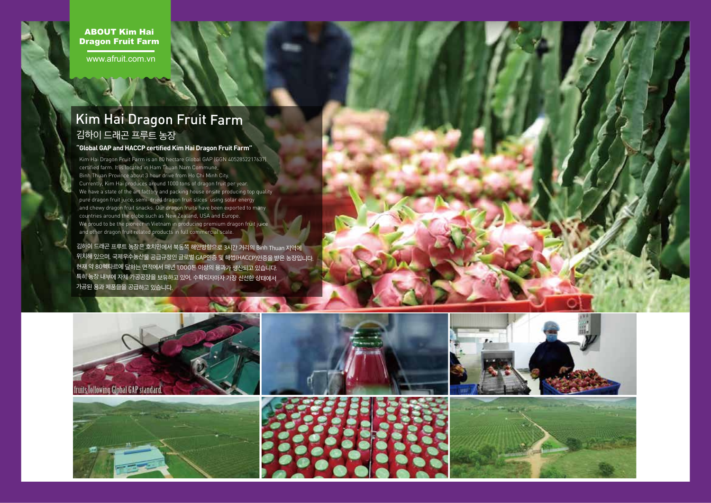ABOUT Kim Hai Dragon Fruit Farm

www.afruit.com.vn

# 김하이 드래곤 프루트 농장 Kim Hai Dragon Fruit Farm

#### **"Global GAP and HACCP certified Kim Hai Dragon Fruit Farm"**

Kim Hai Dragon Fruit Farm is an 80 hectare Global GAP (GGN 4052852217637) certified farm. It is located in Ham Thuan Nam Commune, Binh Thuan Province about 3 hour drive from Ho Chi Minh City. Currently, Kim Hai produces around 1000 tons of dragon fruit per year. We have a state of the art factory and packing house onsite producing top quality pure dragon fruit juice, semi-dried dragon fruit slices using solar energy and chewy dragon fruit snacks. Our dragon fruits have been exported to many countries around the globe such as New Zealand, USA and Europe. We proud to be the pioneer in Vietnam in producing premium dragon fruit juice and other dragon fruit related products in full commercial scale.

김하이 드래곤 프루트 농장은 호치민에서 북동쪽 해안방향으로 3시간 거리의 Binh Thuan 지역에 위치해 있으며, 국제우수농산물 공급규정인 글로벌 GAP인증 및 해썹(HACCP)인증을 받은 농장입니다. 현재 약 80헥타르에 달하는 면적에서 매년 1,000톤 이상의 용과가 생산되고 있습니다. 특히 농장 내부에 자체 가공공장을 보유하고 있어, 수확되자마자 가장 신선한 상태에서 가공된 용과 제품들을 공급하고 있습니다.

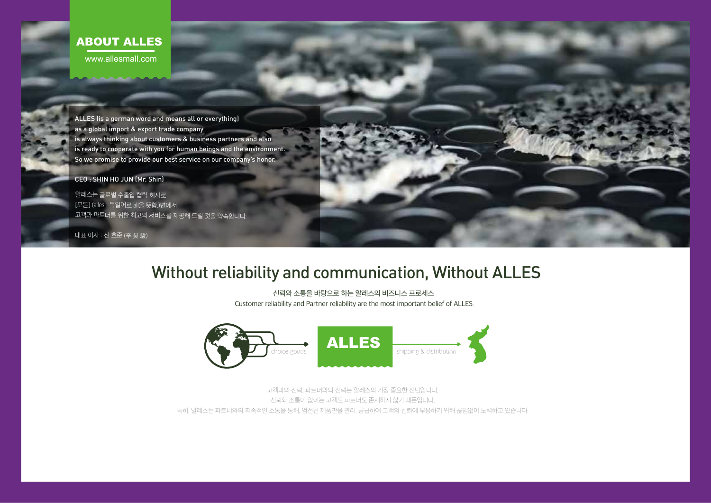## ABOUT ALLES

www.allesmall.com

ALLES (is a german word and means all or everything) as a global import & export trade company is always thinking about customers & business partners and also is ready to cooperate with you for human beings and the environment. So we promise to provide our best service on our company's honor.

CEO : SHIN HO JUN (Mr. Shin)

알레스는 글로벌 수출입 협력 회사로 [모든] (alles : 독일어로 all을 뜻함.)면에서 고객과 파트너를 위한 최고의 서비스를 제공해 드릴 것을 약속합니다.

대표 이사 : 신 호준 (辛 昊 駿)

# Without reliability and communication, Without ALLES

신뢰와 소통을 바탕으로 하는 알레스의 비즈니스 프로세스 Customer reliability and Partner reliability are the most important belief of ALLES.



고객과의 신뢰, 파트너와의 신뢰는 알레스의 가장 중요한 신념입니다. 신뢰와 소통이 없이는 고객도 파트너도 존재하지 않기 때문입니다. 특히, 알레스는 파트너와의 지속적인 소통을 통해, 엄선된 제품만을 관리, 공급하여 고객의 신뢰에 부응하기 위해 끊임없이 노력하고 있습니다.